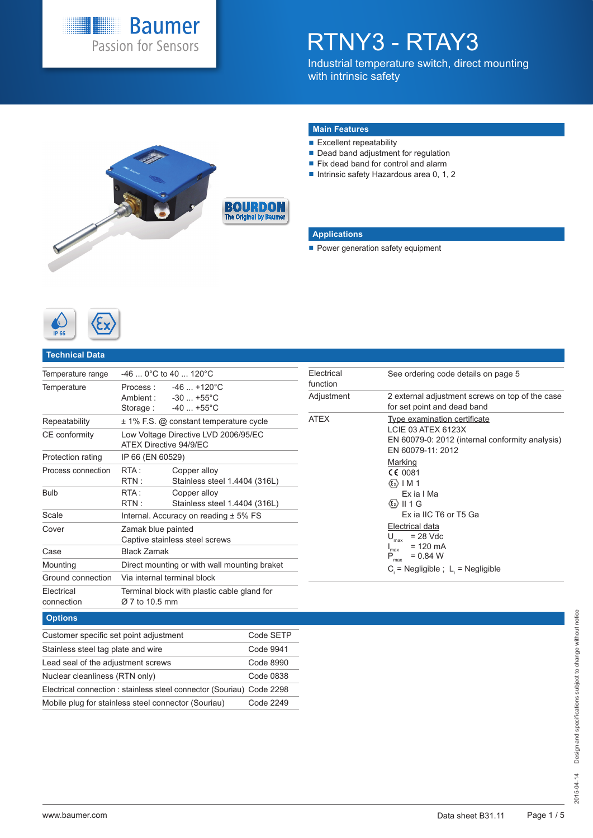

# RTNY3 - RTAY3

Industrial temperature switch, direct mounting with intrinsic safety



#### **Main Features**

- $\blacksquare$  Excellent repeatability
- Dead band adjustment for regulation
- Fix dead band for control and alarm
- Intrinsic safety Hazardous area 0, 1, 2

### **Applications**

Power generation safety equipment



#### **Technical Data**

| Temperature range        |                          | $-46$ 0°C to 40  120°C                                                     |  |  |  |  |  |  |  |
|--------------------------|--------------------------|----------------------------------------------------------------------------|--|--|--|--|--|--|--|
| Temperature              |                          | Process: -46  +120°C<br>Ambient: -30  +55°C<br>Storage: $-40+55^{\circ}$ C |  |  |  |  |  |  |  |
| Repeatability            |                          | $\pm$ 1% F.S. @ constant temperature cycle                                 |  |  |  |  |  |  |  |
| CE conformity            | ATFX Directive 94/9/FC   | Low Voltage Directive LVD 2006/95/EC                                       |  |  |  |  |  |  |  |
| Protection rating        | IP 66 (EN 60529)         |                                                                            |  |  |  |  |  |  |  |
| Process connection       | RTA:<br>$\mathsf{RTN}$ : | Copper alloy<br>Stainless steel 1.4404 (316L)                              |  |  |  |  |  |  |  |
| <b>Bulb</b>              | RTA :<br>RTN :           | Copper alloy<br>Stainless steel 1.4404 (316L)                              |  |  |  |  |  |  |  |
| Scale                    |                          | Internal. Accuracy on reading $± 5\%$ FS                                   |  |  |  |  |  |  |  |
| Cover                    | Zamak blue painted       | Captive stainless steel screws                                             |  |  |  |  |  |  |  |
| Case                     |                          | <b>Black Zamak</b>                                                         |  |  |  |  |  |  |  |
| Mounting                 |                          | Direct mounting or with wall mounting braket                               |  |  |  |  |  |  |  |
| Ground connection        |                          | Via internal terminal block                                                |  |  |  |  |  |  |  |
| Electrical<br>connection | Ø 7 to 10.5 mm           | Terminal block with plastic cable gland for                                |  |  |  |  |  |  |  |
|                          |                          |                                                                            |  |  |  |  |  |  |  |

### **Options**

| Customer specific set point adjustment                                | Code SETP |
|-----------------------------------------------------------------------|-----------|
| Stainless steel tag plate and wire                                    | Code 9941 |
| Lead seal of the adjustment screws                                    | Code 8990 |
| Nuclear cleanliness (RTN only)                                        | Code 0838 |
| Electrical connection : stainless steel connector (Souriau) Code 2298 |           |
| Mobile plug for stainless steel connector (Souriau)                   | Code 2249 |

| Electrical<br>function | See ordering code details on page 5                                                                                                                                                                                                                                                                                  |
|------------------------|----------------------------------------------------------------------------------------------------------------------------------------------------------------------------------------------------------------------------------------------------------------------------------------------------------------------|
| Adjustment             | 2 external adjustment screws on top of the case<br>for set point and dead band                                                                                                                                                                                                                                       |
| ATEX                   | Type examination certificate<br>LCIE 03 ATEX 6123X<br>EN 60079-0: 2012 (internal conformity analysis)<br>EN 60079-11: 2012<br>Marking<br>CE 0081<br>(εx)   M 1<br>Ex ia I Ma<br>$\langle x \rangle$    1 G<br>Ex ia IIC T6 or T5 Ga<br>Electrical data<br>$= 28$ Vdc<br>max<br>= 120 mA<br>max<br>$P_{max}$ = 0.84 W |
|                        | $C_i$ = Negligible ; L = Negligible                                                                                                                                                                                                                                                                                  |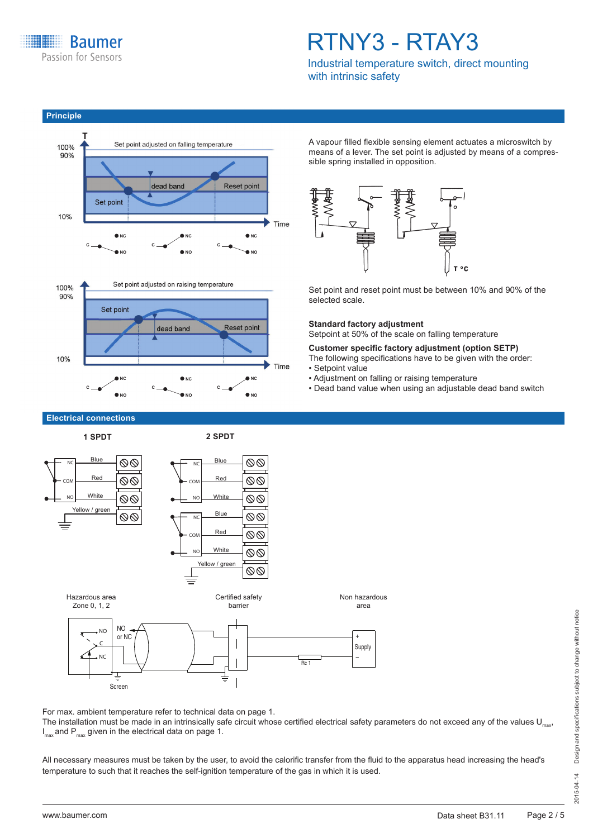

**Principle**

## RTNY3 - RTAY3

Industrial temperature switch, direct mounting with intrinsic safety





A vapour filled flexible sensing element actuates a microswitch by means of a lever. The set point is adjusted by means of a compressible spring installed in opposition.



Set point and reset point must be between 10% and 90% of the selected scale.

#### **Standard factory adjustment**

Setpoint at 50% of the scale on falling temperature

**Customer specific factory adjustment (option SETP)** The following specifications have to be given with the order: • Setpoint value

- Adjustment on falling or raising temperature
- Dead band value when using an adjustable dead band switch

**Electrical connections**





For max. ambient temperature refer to technical data on page 1.

The installation must be made in an intrinsically safe circuit whose certified electrical safety parameters do not exceed any of the values  $U_{max}$  $I_{\text{max}}$  and  $\mathsf{P}_{\text{max}}$  given in the electrical data on page 1.

All necessary measures must be taken by the user, to avoid the calorific transfer from the fluid to the apparatus head increasing the head's temperature to such that it reaches the self-ignition temperature of the gas in which it is used.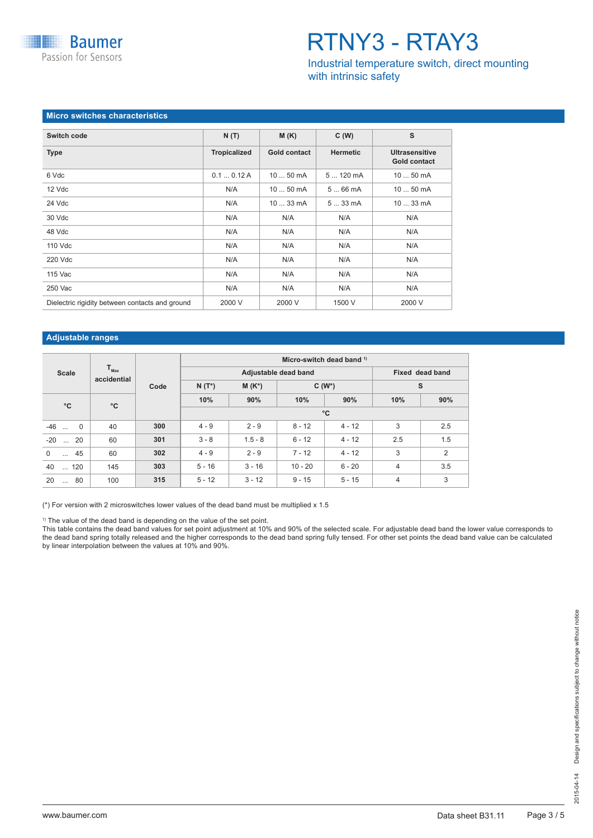**Baumer** Passion for Sensors

## RTNY3 - RTAY3

Industrial temperature switch, direct mounting with intrinsic safety

#### **Micro switches characteristics**

| Switch code                                     | N(T)                | M(K)                | C(W)            | s                                            |
|-------------------------------------------------|---------------------|---------------------|-----------------|----------------------------------------------|
| <b>Type</b>                                     | <b>Tropicalized</b> | <b>Gold contact</b> | <b>Hermetic</b> | <b>Ultrasensitive</b><br><b>Gold contact</b> |
| 6 Vdc                                           | 0.10.12A            | 10  50 mA           | $5120$ mA       | 10  50 mA                                    |
| 12 Vdc                                          | N/A                 | $1050$ mA           | 566mA           | 10  50 mA                                    |
| 24 Vdc                                          | N/A                 | $1033 \text{ mA}$   | $533$ mA        | 10  33 mA                                    |
| 30 Vdc                                          | N/A                 | N/A                 | N/A             | N/A                                          |
| 48 Vdc                                          | N/A                 | N/A                 | N/A             | N/A                                          |
| 110 Vdc                                         | N/A                 | N/A                 | N/A             | N/A                                          |
| 220 Vdc                                         | N/A                 | N/A                 | N/A             | N/A                                          |
| 115 Vac                                         | N/A                 | N/A                 | N/A             | N/A                                          |
| 250 Vac                                         | N/A                 | N/A                 | N/A             | N/A                                          |
| Dielectric rigidity between contacts and ground | 2000 V              | 2000 V              | 1500 V          | 2000 V                                       |

#### **Adjustable ranges**

|                                   |                                 |      |          |           |                      | Micro-switch dead band 1) |                |                 |
|-----------------------------------|---------------------------------|------|----------|-----------|----------------------|---------------------------|----------------|-----------------|
| <b>Scale</b>                      | $T_{\text{max}}$<br>accidential |      |          |           | Adjustable dead band |                           |                | Fixed dead band |
|                                   |                                 | Code | $N(T^*)$ | $M(K^*)$  |                      | $C(W^*)$                  |                | s               |
| $^{\circ}$ C                      | $^{\circ}$ C                    |      | 10%      | 90%       | 10%                  | 90%                       | 10%            | 90%             |
|                                   |                                 |      |          |           |                      | $^{\circ}$ C              |                |                 |
| $-46$<br>$\overline{0}$<br>$\sim$ | 40                              | 300  | $4 - 9$  | $2 - 9$   | $8 - 12$             | $4 - 12$                  | 3              | 2.5             |
| 20<br>$-20$<br>$\mathbf{r}$       | 60                              | 301  | $3 - 8$  | $1.5 - 8$ | $6 - 12$             | $4 - 12$                  | 2.5            | 1.5             |
| 45<br>$\Omega$<br>$\cdots$        | 60                              | 302  | $4 - 9$  | $2 - 9$   | $7 - 12$             | $4 - 12$                  | 3              | 2               |
| 40<br>$\dots$ 120                 | 145                             | 303  | $5 - 16$ | $3 - 16$  | $10 - 20$            | $6 - 20$                  | $\overline{4}$ | 3.5             |
| 80<br>20<br>$\cdots$              | 100                             | 315  | $5 - 12$ | $3 - 12$  | $9 - 15$             | $5 - 15$                  | $\overline{4}$ | 3               |

(\*) For version with 2 microswitches lower values of the dead band must be multiplied x 1.5

<sup>1)</sup> The value of the dead band is depending on the value of the set point.

This table contains the dead band values for set point adjustment at 10% and 90% of the selected scale. For adjustable dead band the lower value corresponds to the dead band spring totally released and the higher corresponds to the dead band spring fully tensed. For other set points the dead band value can be calculated by linear interpolation between the values at 10% and 90%.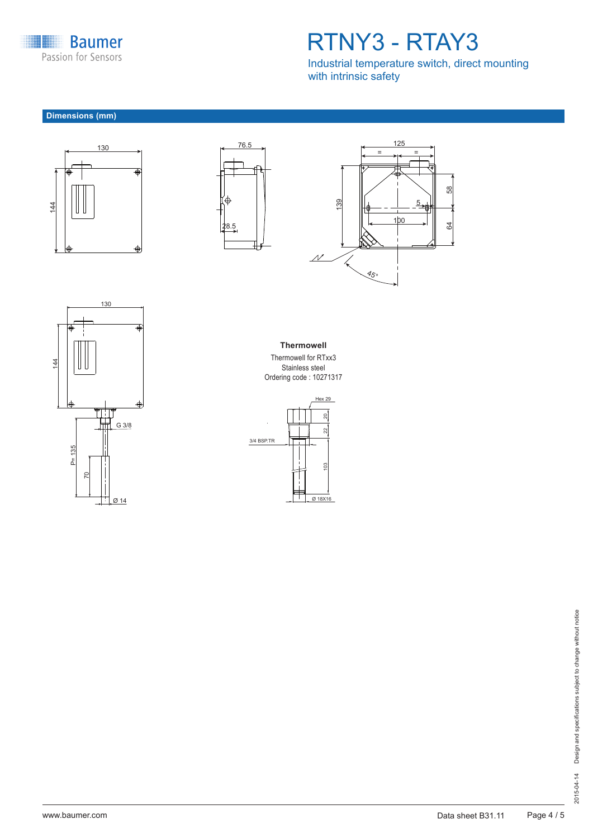

## RTNY3 - RTAY3

Industrial temperature switch, direct mounting with intrinsic safety

### **Dimensions (mm)**









**Thermowell**

Thermowell for RTxx3 Stainless steel Ordering code : 10271317